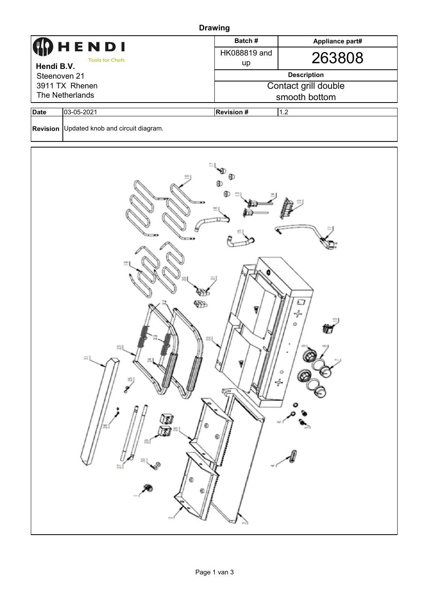| <b>Drawing</b>                                                                                                |                                            |                          |                 |  |  |  |  |  |
|---------------------------------------------------------------------------------------------------------------|--------------------------------------------|--------------------------|-----------------|--|--|--|--|--|
|                                                                                                               |                                            | Batch#                   | Appliance part# |  |  |  |  |  |
| HENDI                                                                                                         |                                            | HK088819 and             | 263808          |  |  |  |  |  |
| <b>Tools for Chefs</b><br>Hendi B.V.                                                                          |                                            | up                       |                 |  |  |  |  |  |
| Steenoven 21                                                                                                  |                                            | <b>Description</b>       |                 |  |  |  |  |  |
| 3911 TX Rhenen                                                                                                |                                            | Contact grill double     |                 |  |  |  |  |  |
| The Netherlands                                                                                               |                                            | smooth bottom            |                 |  |  |  |  |  |
| <b>Date</b>                                                                                                   | 03-05-2021                                 | <b>Revision #</b><br>1.2 |                 |  |  |  |  |  |
|                                                                                                               | Revision Updated knob and circuit diagram. |                          |                 |  |  |  |  |  |
| $\overline{ }$<br>ப<br>$\cdot \circ \cdot$<br>Ο<br>$\approx$<br>ᆏ<br>ο<br>C<br>20<br>$\cdot \circ \cdot$<br>広 |                                            |                          |                 |  |  |  |  |  |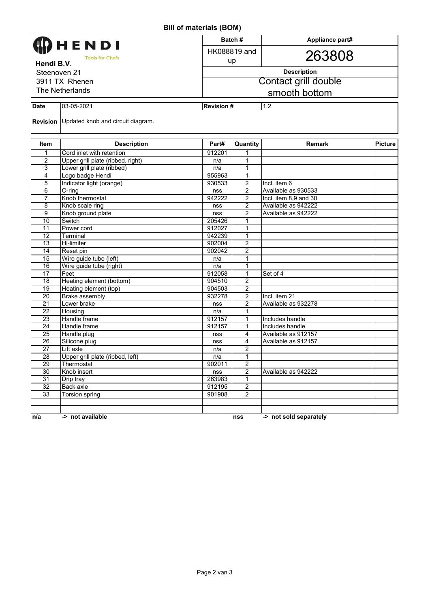## **Bill of materials (BOM)**

|                        |                                            |                  | Batch#               | Appliance part#        |                |  |  |
|------------------------|--------------------------------------------|------------------|----------------------|------------------------|----------------|--|--|
| HENDI                  |                                            |                  | HK088819 and         |                        |                |  |  |
| <b>Tools for Chefs</b> |                                            |                  | up                   | 263808                 |                |  |  |
| Hendi B.V.             |                                            |                  |                      |                        |                |  |  |
| Steenoven 21           |                                            |                  | <b>Description</b>   |                        |                |  |  |
| 3911 TX Rhenen         |                                            |                  | Contact grill double |                        |                |  |  |
| The Netherlands        |                                            |                  | smooth bottom        |                        |                |  |  |
|                        |                                            |                  |                      |                        |                |  |  |
| <b>Date</b>            | 03-05-2021                                 | <b>Revision#</b> |                      | 1.2                    |                |  |  |
|                        | Revision Updated knob and circuit diagram. |                  |                      |                        |                |  |  |
|                        |                                            |                  |                      |                        |                |  |  |
| Item                   | <b>Description</b>                         | Part#            | Quantity             | <b>Remark</b>          | <b>Picture</b> |  |  |
| 1                      | Cord inlet with retention                  | 912201           | 1                    |                        |                |  |  |
| 2                      | Upper grill plate (ribbed, right)          | n/a              | 1                    |                        |                |  |  |
| 3                      | Lower grill plate (ribbed)                 | n/a              | $\mathbf{1}$         |                        |                |  |  |
| 4                      | Logo badge Hendi                           | 955963           | 1                    |                        |                |  |  |
| 5                      | Indicator light (orange)                   | 930533           | $\overline{2}$       | Incl. item 6           |                |  |  |
| 6                      | $\overline{O}$ -ring                       | nss              | $\overline{2}$       | Available as 930533    |                |  |  |
| $\overline{7}$         | Knob thermostat                            | 942222           | 2                    | Incl. item 8,9 and 30  |                |  |  |
| 8                      | Knob scale ring                            | nss              | $\overline{2}$       | Available as 942222    |                |  |  |
| 9                      | Knob ground plate                          | nss              | 2                    | Available as 942222    |                |  |  |
| 10                     | Switch                                     | 205426           | 1                    |                        |                |  |  |
| 11                     | Power cord                                 | 912027           | $\mathbf{1}$         |                        |                |  |  |
| 12                     | Terminal                                   | 942239           | 1                    |                        |                |  |  |
| 13                     | Hi-limiter                                 | 902004           | 2                    |                        |                |  |  |
| 14                     | Reset pin                                  | 902042           | $\overline{c}$       |                        |                |  |  |
| 15                     | Wire guide tube (left)                     | n/a              | $\mathbf{1}$         |                        |                |  |  |
| 16                     | Wire guide tube (right)                    | n/a              | 1                    |                        |                |  |  |
| 17                     | Feet                                       | 912058           | 1                    | Set of 4               |                |  |  |
| 18                     | Heating element (bottom)                   | 904510           | $\overline{c}$       |                        |                |  |  |
| $\overline{19}$        | Heating element (top)                      | 904503           | 2                    |                        |                |  |  |
| 20                     | <b>Brake assembly</b>                      | 932278           | 2                    | Incl. item 21          |                |  |  |
| 21                     | Lower brake                                | nss              | 2                    | Available as 932278    |                |  |  |
| 22                     | Housing                                    | n/a              | 1                    |                        |                |  |  |
| 23                     | Handle frame                               | 912157           | $\mathbf{1}$         | Includes handle        |                |  |  |
| 24                     | Handle frame                               | 912157           | $\mathbf{1}$         | Includes handle        |                |  |  |
| 25                     | Handle plug                                | nss              | 4                    | Available as 912157    |                |  |  |
| 26                     | Silicone plug                              | nss              | 4                    | Available as 912157    |                |  |  |
| $\overline{27}$        | Lift axle                                  | n/a              | $\overline{2}$       |                        |                |  |  |
| 28                     | Upper grill plate (ribbed, left)           | n/a              | $\mathbf{1}$         |                        |                |  |  |
| 29                     | Thermostat                                 | 902011           | $\overline{2}$       |                        |                |  |  |
| 30                     | Knob insert                                | nss              | $\overline{2}$       | Available as 942222    |                |  |  |
| 31                     | Drip tray                                  | 263983           | 1                    |                        |                |  |  |
| $\overline{32}$        | Back axle                                  | 912195           | $\overline{2}$       |                        |                |  |  |
| 33                     | Torsion spring                             | 901908           | $\overline{2}$       |                        |                |  |  |
|                        |                                            |                  |                      |                        |                |  |  |
|                        |                                            |                  |                      | -> not sold separately |                |  |  |
| n/a                    | -> not available                           |                  | nss                  |                        |                |  |  |